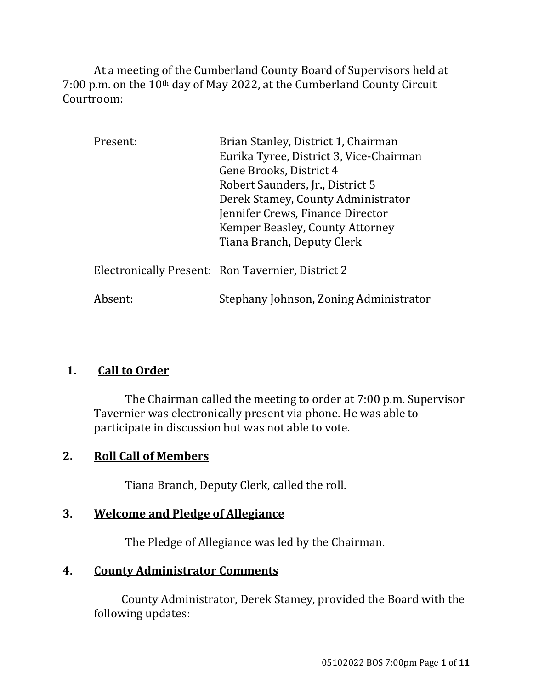At a meeting of the Cumberland County Board of Supervisors held at 7:00 p.m. on the 10th day of May 2022, at the Cumberland County Circuit Courtroom:

| Present: | Brian Stanley, District 1, Chairman               |
|----------|---------------------------------------------------|
|          | Eurika Tyree, District 3, Vice-Chairman           |
|          | Gene Brooks, District 4                           |
|          | Robert Saunders, Jr., District 5                  |
|          | Derek Stamey, County Administrator                |
|          | Jennifer Crews, Finance Director                  |
|          | Kemper Beasley, County Attorney                   |
|          | Tiana Branch, Deputy Clerk                        |
|          | Electronically Present: Ron Tavernier, District 2 |
| Absent:  | Stephany Johnson, Zoning Administrator            |

### **1. Call to Order**

The Chairman called the meeting to order at 7:00 p.m. Supervisor Tavernier was electronically present via phone. He was able to participate in discussion but was not able to vote.

#### **2. Roll Call of Members**

Tiana Branch, Deputy Clerk, called the roll.

#### **3. Welcome and Pledge of Allegiance**

The Pledge of Allegiance was led by the Chairman.

#### **4. County Administrator Comments**

 County Administrator, Derek Stamey, provided the Board with the following updates: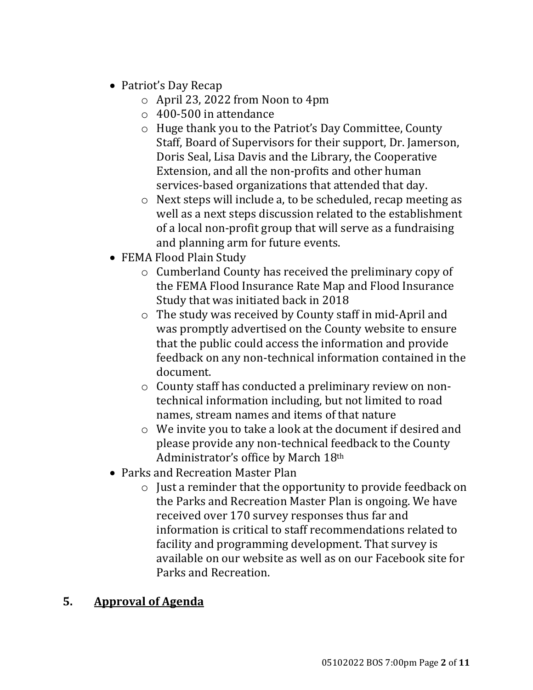- Patriot's Day Recap
	- o April 23, 2022 from Noon to 4pm
	- o 400-500 in attendance
	- o Huge thank you to the Patriot's Day Committee, County Staff, Board of Supervisors for their support, Dr. Jamerson, Doris Seal, Lisa Davis and the Library, the Cooperative Extension, and all the non-profits and other human services-based organizations that attended that day.
	- o Next steps will include a, to be scheduled, recap meeting as well as a next steps discussion related to the establishment of a local non-profit group that will serve as a fundraising and planning arm for future events.
- FEMA Flood Plain Study
	- o Cumberland County has received the preliminary copy of the FEMA Flood Insurance Rate Map and Flood Insurance Study that was initiated back in 2018
	- o The study was received by County staff in mid-April and was promptly advertised on the County website to ensure that the public could access the information and provide feedback on any non-technical information contained in the document.
	- o County staff has conducted a preliminary review on nontechnical information including, but not limited to road names, stream names and items of that nature
	- o We invite you to take a look at the document if desired and please provide any non-technical feedback to the County Administrator's office by March 18th
- Parks and Recreation Master Plan
	- o Just a reminder that the opportunity to provide feedback on the Parks and Recreation Master Plan is ongoing. We have received over 170 survey responses thus far and information is critical to staff recommendations related to facility and programming development. That survey is available on our website as well as on our Facebook site for Parks and Recreation.

# **5. Approval of Agenda**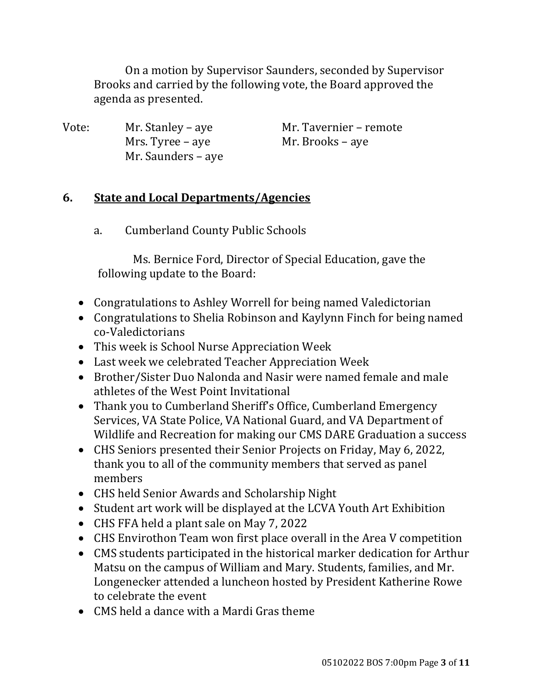On a motion by Supervisor Saunders, seconded by Supervisor Brooks and carried by the following vote, the Board approved the agenda as presented.

| Vote: | Mr. Stanley – aye  | Mr. Tavernier – remote |
|-------|--------------------|------------------------|
|       | Mrs. Tyree – aye   | Mr. Brooks – aye       |
|       | Mr. Saunders – aye |                        |

## **6. State and Local Departments/Agencies**

a. Cumberland County Public Schools

Ms. Bernice Ford, Director of Special Education, gave the following update to the Board:

- Congratulations to Ashley Worrell for being named Valedictorian
- Congratulations to Shelia Robinson and Kaylynn Finch for being named co-Valedictorians
- This week is School Nurse Appreciation Week
- Last week we celebrated Teacher Appreciation Week
- Brother/Sister Duo Nalonda and Nasir were named female and male athletes of the West Point Invitational
- Thank you to Cumberland Sheriff's Office, Cumberland Emergency Services, VA State Police, VA National Guard, and VA Department of Wildlife and Recreation for making our CMS DARE Graduation a success
- CHS Seniors presented their Senior Projects on Friday, May 6, 2022, thank you to all of the community members that served as panel members
- CHS held Senior Awards and Scholarship Night
- Student art work will be displayed at the LCVA Youth Art Exhibition
- CHS FFA held a plant sale on May 7, 2022
- CHS Envirothon Team won first place overall in the Area V competition
- CMS students participated in the historical marker dedication for Arthur Matsu on the campus of William and Mary. Students, families, and Mr. Longenecker attended a luncheon hosted by President Katherine Rowe to celebrate the event
- CMS held a dance with a Mardi Gras theme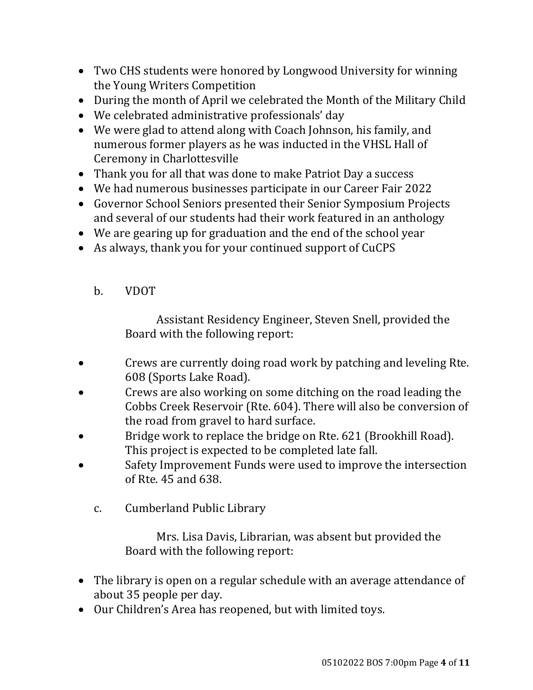- Two CHS students were honored by Longwood University for winning the Young Writers Competition
- During the month of April we celebrated the Month of the Military Child
- We celebrated administrative professionals' day
- We were glad to attend along with Coach Johnson, his family, and numerous former players as he was inducted in the VHSL Hall of Ceremony in Charlottesville
- Thank you for all that was done to make Patriot Day a success
- We had numerous businesses participate in our Career Fair 2022
- Governor School Seniors presented their Senior Symposium Projects and several of our students had their work featured in an anthology
- We are gearing up for graduation and the end of the school year
- As always, thank you for your continued support of CuCPS

# b. VDOT

Assistant Residency Engineer, Steven Snell, provided the Board with the following report:

- Crews are currently doing road work by patching and leveling Rte. 608 (Sports Lake Road).
- Crews are also working on some ditching on the road leading the Cobbs Creek Reservoir (Rte. 604). There will also be conversion of the road from gravel to hard surface.
- Bridge work to replace the bridge on Rte. 621 (Brookhill Road). This project is expected to be completed late fall.
- Safety Improvement Funds were used to improve the intersection of Rte. 45 and 638.
	- c. Cumberland Public Library

Mrs. Lisa Davis, Librarian, was absent but provided the Board with the following report:

- The library is open on a regular schedule with an average attendance of about 35 people per day.
- Our Children's Area has reopened, but with limited toys.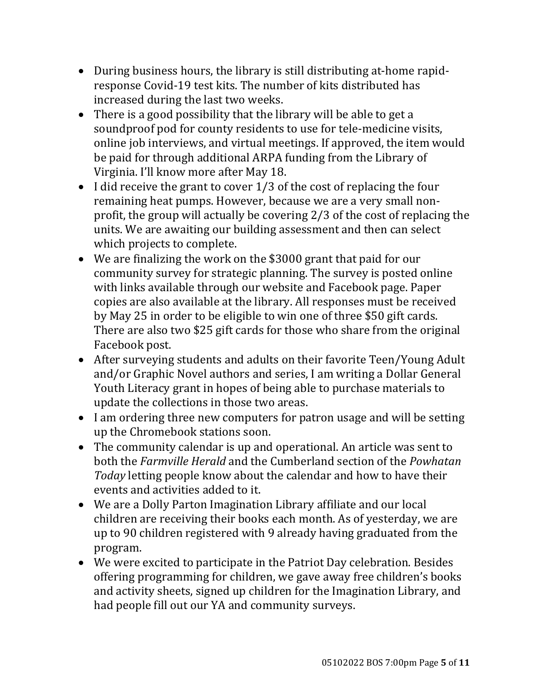- During business hours, the library is still distributing at-home rapidresponse Covid-19 test kits. The number of kits distributed has increased during the last two weeks.
- There is a good possibility that the library will be able to get a soundproof pod for county residents to use for tele-medicine visits, online job interviews, and virtual meetings. If approved, the item would be paid for through additional ARPA funding from the Library of Virginia. I'll know more after May 18.
- $\bullet$  I did receive the grant to cover 1/3 of the cost of replacing the four remaining heat pumps. However, because we are a very small nonprofit, the group will actually be covering 2/3 of the cost of replacing the units. We are awaiting our building assessment and then can select which projects to complete.
- We are finalizing the work on the \$3000 grant that paid for our community survey for strategic planning. The survey is posted online with links available through our website and Facebook page. Paper copies are also available at the library. All responses must be received by May 25 in order to be eligible to win one of three \$50 gift cards. There are also two \$25 gift cards for those who share from the original Facebook post.
- After surveying students and adults on their favorite Teen/Young Adult and/or Graphic Novel authors and series, I am writing a Dollar General Youth Literacy grant in hopes of being able to purchase materials to update the collections in those two areas.
- I am ordering three new computers for patron usage and will be setting up the Chromebook stations soon.
- The community calendar is up and operational. An article was sent to both the *Farmville Herald* and the Cumberland section of the *Powhatan Today* letting people know about the calendar and how to have their events and activities added to it.
- We are a Dolly Parton Imagination Library affiliate and our local children are receiving their books each month. As of yesterday, we are up to 90 children registered with 9 already having graduated from the program.
- We were excited to participate in the Patriot Day celebration. Besides offering programming for children, we gave away free children's books and activity sheets, signed up children for the Imagination Library, and had people fill out our YA and community surveys.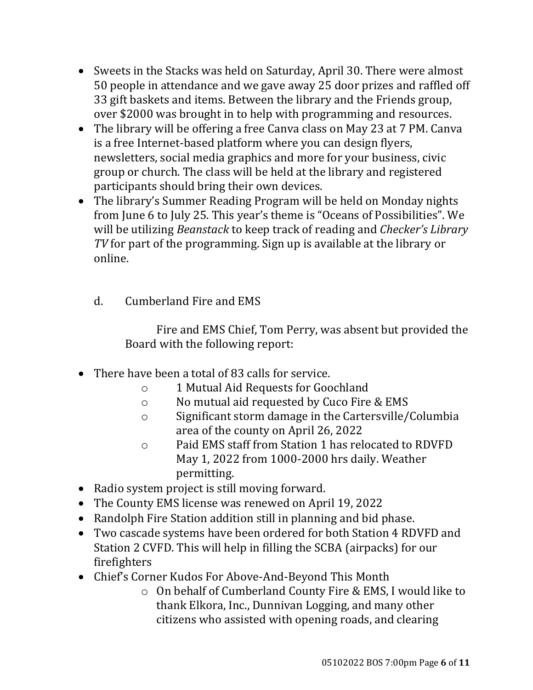- Sweets in the Stacks was held on Saturday, April 30. There were almost 50 people in attendance and we gave away 25 door prizes and raffled off 33 gift baskets and items. Between the library and the Friends group, over \$2000 was brought in to help with programming and resources.
- The library will be offering a free Canva class on May 23 at 7 PM. Canva is a free Internet-based platform where you can design flyers, newsletters, social media graphics and more for your business, civic group or church. The class will be held at the library and registered participants should bring their own devices.
- The library's Summer Reading Program will be held on Monday nights from June 6 to July 25. This year's theme is "Oceans of Possibilities". We will be utilizing *Beanstack* to keep track of reading and *Checker's Library TV* for part of the programming. Sign up is available at the library or online.
	- d. Cumberland Fire and EMS

Fire and EMS Chief, Tom Perry, was absent but provided the Board with the following report:

- There have been a total of 83 calls for service.
	- o 1 Mutual Aid Requests for Goochland
	- o No mutual aid requested by Cuco Fire & EMS
	- o Significant storm damage in the Cartersville/Columbia area of the county on April 26, 2022
	- o Paid EMS staff from Station 1 has relocated to RDVFD May 1, 2022 from 1000-2000 hrs daily. Weather permitting.
- Radio system project is still moving forward.
- The County EMS license was renewed on April 19, 2022
- Randolph Fire Station addition still in planning and bid phase.
- Two cascade systems have been ordered for both Station 4 RDVFD and Station 2 CVFD. This will help in filling the SCBA (airpacks) for our firefighters
- Chief's Corner Kudos For Above-And-Beyond This Month
	- o On behalf of Cumberland County Fire & EMS, I would like to thank Elkora, Inc., Dunnivan Logging, and many other citizens who assisted with opening roads, and clearing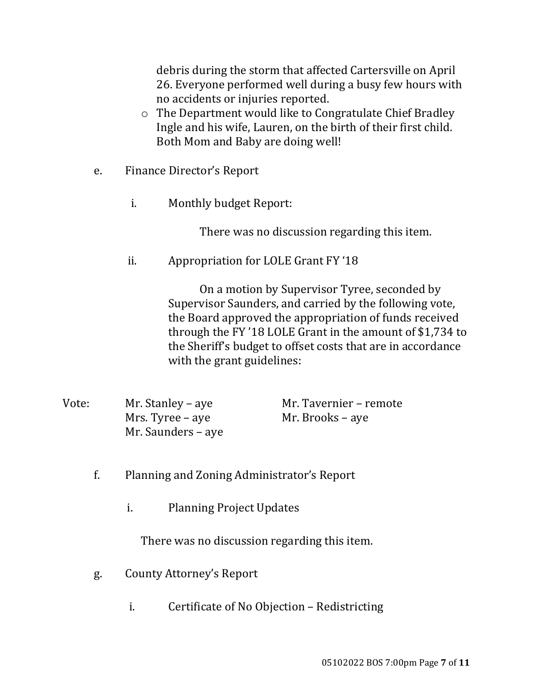debris during the storm that affected Cartersville on April 26. Everyone performed well during a busy few hours with no accidents or injuries reported.

- o The Department would like to Congratulate Chief Bradley Ingle and his wife, Lauren, on the birth of their first child. Both Mom and Baby are doing well!
- e. Finance Director's Report
	- i. Monthly budget Report:

There was no discussion regarding this item.

ii. Appropriation for LOLE Grant FY '18

On a motion by Supervisor Tyree, seconded by Supervisor Saunders, and carried by the following vote, the Board approved the appropriation of funds received through the FY '18 LOLE Grant in the amount of \$1,734 to the Sheriff's budget to offset costs that are in accordance with the grant guidelines:

- Vote: Mr. Stanley aye Mr. Tavernier remote Mrs. Tyree – aye Mr. Brooks – aye Mr. Saunders – aye
	- f. Planning and Zoning Administrator's Report
		- i. Planning Project Updates

There was no discussion regarding this item.

- g. County Attorney's Report
	- i. Certificate of No Objection Redistricting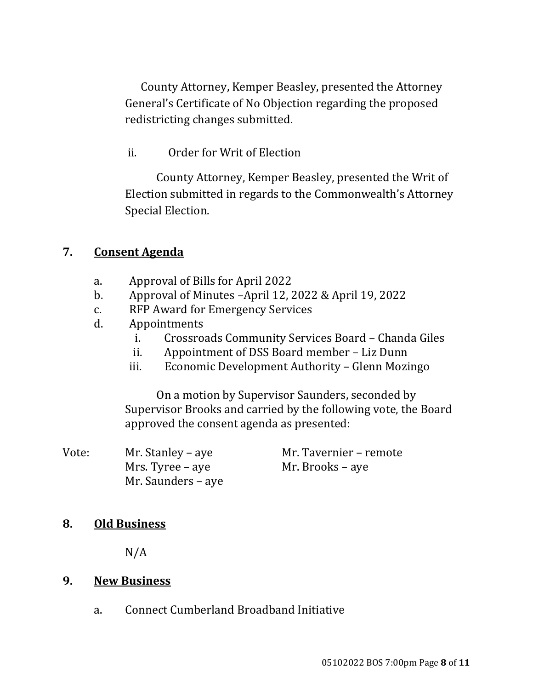County Attorney, Kemper Beasley, presented the Attorney General's Certificate of No Objection regarding the proposed redistricting changes submitted.

ii. Order for Writ of Election

County Attorney, Kemper Beasley, presented the Writ of Election submitted in regards to the Commonwealth's Attorney Special Election.

## **7. Consent Agenda**

- a. Approval of Bills for April 2022
- b. Approval of Minutes –April 12, 2022 & April 19, 2022
- c. RFP Award for Emergency Services
- d. Appointments
	- i. Crossroads Community Services Board Chanda Giles
	- ii. Appointment of DSS Board member Liz Dunn
	- iii. Economic Development Authority Glenn Mozingo

On a motion by Supervisor Saunders, seconded by Supervisor Brooks and carried by the following vote, the Board approved the consent agenda as presented:

| Vote: | Mr. Stanley – aye  | Mr. Tavernier – remote |
|-------|--------------------|------------------------|
|       | Mrs. Tyree – aye   | Mr. Brooks – aye       |
|       | Mr. Saunders – aye |                        |

# **8. Old Business**

 $N/A$ 

# **9. New Business**

a. Connect Cumberland Broadband Initiative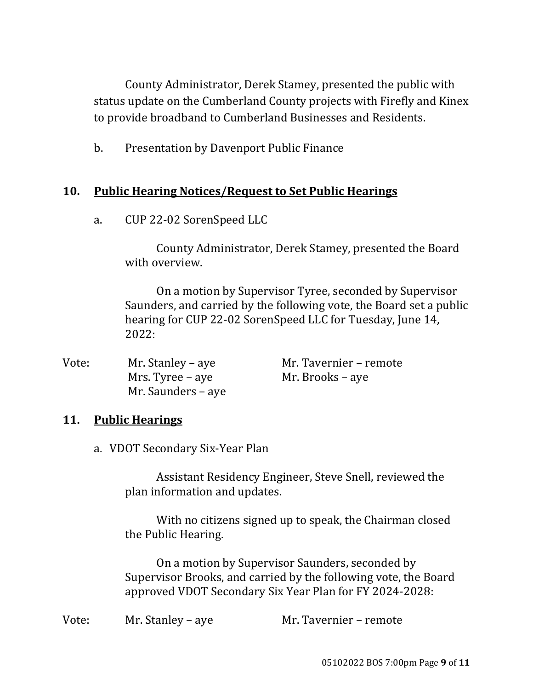County Administrator, Derek Stamey, presented the public with status update on the Cumberland County projects with Firefly and Kinex to provide broadband to Cumberland Businesses and Residents.

b. Presentation by Davenport Public Finance

### **10. Public Hearing Notices/Request to Set Public Hearings**

a. CUP 22-02 SorenSpeed LLC

County Administrator, Derek Stamey, presented the Board with overview.

On a motion by Supervisor Tyree, seconded by Supervisor Saunders, and carried by the following vote, the Board set a public hearing for CUP 22-02 SorenSpeed LLC for Tuesday, June 14, 2022:

| Vote: | Mr. Stanley – aye  | Mr. Tavernier – remote |
|-------|--------------------|------------------------|
|       | Mrs. Tyree – aye   | Mr. Brooks – aye       |
|       | Mr. Saunders – aye |                        |

### **11. Public Hearings**

a. VDOT Secondary Six-Year Plan

Assistant Residency Engineer, Steve Snell, reviewed the plan information and updates.

With no citizens signed up to speak, the Chairman closed the Public Hearing.

On a motion by Supervisor Saunders, seconded by Supervisor Brooks, and carried by the following vote, the Board approved VDOT Secondary Six Year Plan for FY 2024-2028:

Vote: Mr. Stanley – aye Mr. Tavernier – remote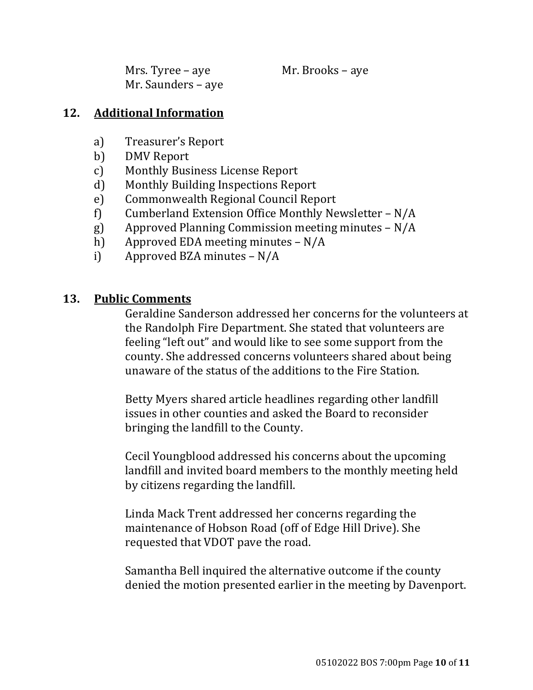Mrs. Tyree – aye Mr. Brooks – aye Mr. Saunders – aye

#### **12. Additional Information**

- a) Treasurer's Report
- b) DMV Report
- c) Monthly Business License Report
- d) Monthly Building Inspections Report
- e) Commonwealth Regional Council Report
- f) Cumberland Extension Office Monthly Newsletter N/A
- g) Approved Planning Commission meeting minutes N/A
- h) Approved EDA meeting minutes N/A
- i) Approved BZA minutes N/A

### **13. Public Comments**

Geraldine Sanderson addressed her concerns for the volunteers at the Randolph Fire Department. She stated that volunteers are feeling "left out" and would like to see some support from the county. She addressed concerns volunteers shared about being unaware of the status of the additions to the Fire Station.

Betty Myers shared article headlines regarding other landfill issues in other counties and asked the Board to reconsider bringing the landfill to the County.

Cecil Youngblood addressed his concerns about the upcoming landfill and invited board members to the monthly meeting held by citizens regarding the landfill.

Linda Mack Trent addressed her concerns regarding the maintenance of Hobson Road (off of Edge Hill Drive). She requested that VDOT pave the road.

Samantha Bell inquired the alternative outcome if the county denied the motion presented earlier in the meeting by Davenport.